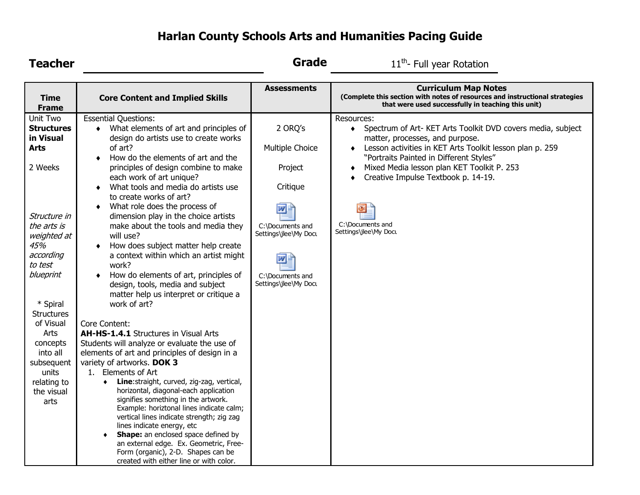## **Harlan County Schools Arts and Humanities Pacing Guide**

| <b>Teacher</b>                                                                                                                                                                                                                                                                                           |                                                                                                                                                                                                                                                                                                                                                                                                                                                                                                                                                                                                                                                                                                                                                                                                                                                                                                                                                                                                                                                   | <b>Grade</b>                                                                                                                                           | 11 <sup>th</sup> - Full year Rotation                                                                                                                                                                                                                                                                                                                                                             |
|----------------------------------------------------------------------------------------------------------------------------------------------------------------------------------------------------------------------------------------------------------------------------------------------------------|---------------------------------------------------------------------------------------------------------------------------------------------------------------------------------------------------------------------------------------------------------------------------------------------------------------------------------------------------------------------------------------------------------------------------------------------------------------------------------------------------------------------------------------------------------------------------------------------------------------------------------------------------------------------------------------------------------------------------------------------------------------------------------------------------------------------------------------------------------------------------------------------------------------------------------------------------------------------------------------------------------------------------------------------------|--------------------------------------------------------------------------------------------------------------------------------------------------------|---------------------------------------------------------------------------------------------------------------------------------------------------------------------------------------------------------------------------------------------------------------------------------------------------------------------------------------------------------------------------------------------------|
| <b>Time</b><br><b>Frame</b>                                                                                                                                                                                                                                                                              | <b>Core Content and Implied Skills</b>                                                                                                                                                                                                                                                                                                                                                                                                                                                                                                                                                                                                                                                                                                                                                                                                                                                                                                                                                                                                            | <b>Assessments</b>                                                                                                                                     | <b>Curriculum Map Notes</b><br>(Complete this section with notes of resources and instructional strategies<br>that were used successfully in teaching this unit)                                                                                                                                                                                                                                  |
| Unit Two<br><b>Structures</b><br>in Visual<br><b>Arts</b><br>2 Weeks<br>Structure in<br>the arts is<br>weighted at<br>45%<br>according<br>to test<br>blueprint<br>* Spiral<br><b>Structures</b><br>of Visual<br>Arts<br>concepts<br>into all<br>subsequent<br>units<br>relating to<br>the visual<br>arts | <b>Essential Questions:</b><br>What elements of art and principles of<br>$\bullet$<br>design do artists use to create works<br>of art?<br>How do the elements of art and the<br>principles of design combine to make<br>each work of art unique?<br>What tools and media do artists use<br>to create works of art?<br>What role does the process of<br>dimension play in the choice artists<br>make about the tools and media they<br>will use?<br>How does subject matter help create<br>a context within which an artist might<br>work?<br>How do elements of art, principles of<br>design, tools, media and subject<br>matter help us interpret or critique a<br>work of art?<br>Core Content:<br><b>AH-HS-1.4.1</b> Structures in Visual Arts<br>Students will analyze or evaluate the use of<br>elements of art and principles of design in a<br>variety of artworks. DOK 3<br>1. Elements of Art<br>Line: straight, curved, zig-zag, vertical,<br>$\bullet$<br>horizontal, diagonal-each application<br>signifies something in the artwork. | 2 ORQ's<br>Multiple Choice<br>Project<br>Critique<br>网目<br>C:\Documents and<br>Settings\jlee\My Docu<br>W<br>C:\Documents and<br>Settings\jlee\My Docu | Resources:<br>Spectrum of Art- KET Arts Toolkit DVD covers media, subject<br>$\bullet$<br>matter, processes, and purpose.<br>Lesson activities in KET Arts Toolkit lesson plan p. 259<br>$\bullet$<br>"Portraits Painted in Different Styles"<br>Mixed Media lesson plan KET Toolkit P. 253<br>٠<br>Creative Impulse Textbook p. 14-19.<br>$\bullet$<br>C:\Documents and<br>Settings\jlee\My Docu |
|                                                                                                                                                                                                                                                                                                          | Example: horiztonal lines indicate calm;<br>vertical lines indicate strength; zig zag<br>lines indicate energy, etc<br><b>Shape:</b> an enclosed space defined by<br>$\blacklozenge$<br>an external edge. Ex. Geometric, Free-<br>Form (organic), 2-D. Shapes can be<br>created with either line or with color.                                                                                                                                                                                                                                                                                                                                                                                                                                                                                                                                                                                                                                                                                                                                   |                                                                                                                                                        |                                                                                                                                                                                                                                                                                                                                                                                                   |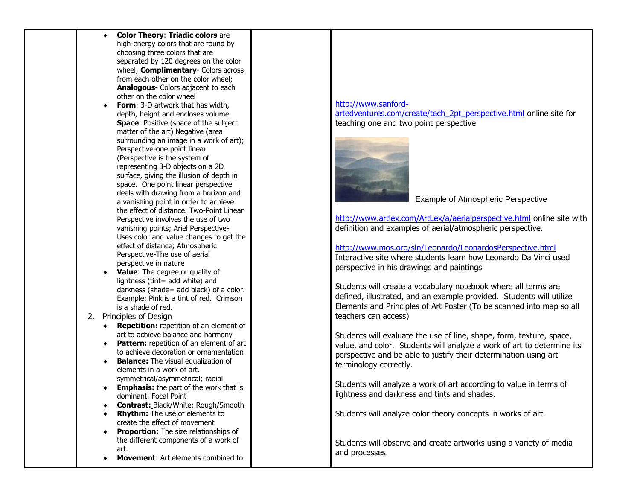|    |   | <b>Color Theory: Triadic colors are</b>        |  |
|----|---|------------------------------------------------|--|
|    |   | high-energy colors that are found by           |  |
|    |   | choosing three colors that are                 |  |
|    |   | separated by 120 degrees on the color          |  |
|    |   | wheel; Complimentary- Colors across            |  |
|    |   | from each other on the color wheel;            |  |
|    |   | Analogous- Colors adjacent to each             |  |
|    |   | other on the color wheel                       |  |
|    |   | <b>Form:</b> 3-D artwork that has width,       |  |
|    |   | depth, height and encloses volume.             |  |
|    |   | <b>Space: Positive (space of the subject)</b>  |  |
|    |   | matter of the art) Negative (area              |  |
|    |   | surrounding an image in a work of art);        |  |
|    |   | Perspective-one point linear                   |  |
|    |   | (Perspective is the system of                  |  |
|    |   | representing 3-D objects on a 2D               |  |
|    |   | surface, giving the illusion of depth in       |  |
|    |   | space. One point linear perspective            |  |
|    |   | deals with drawing from a horizon and          |  |
|    |   | a vanishing point in order to achieve          |  |
|    |   | the effect of distance. Two-Point Linear       |  |
|    |   | Perspective involves the use of two            |  |
|    |   | vanishing points; Ariel Perspective-           |  |
|    |   | Uses color and value changes to get the        |  |
|    |   | effect of distance; Atmospheric                |  |
|    |   | Perspective-The use of aerial                  |  |
|    |   | perspective in nature                          |  |
|    |   | Value: The degree or quality of                |  |
|    |   | lightness (tint= add white) and                |  |
|    |   | darkness (shade= add black) of a color.        |  |
|    |   | Example: Pink is a tint of red. Crimson        |  |
|    |   | is a shade of red.                             |  |
| 2. |   | Principles of Design                           |  |
|    | ٠ | <b>Repetition:</b> repetition of an element of |  |
|    |   | art to achieve balance and harmony             |  |
|    |   | Pattern: repetition of an element of art       |  |
|    |   | to achieve decoration or ornamentation         |  |
|    |   | <b>Balance:</b> The visual equalization of     |  |
|    |   | elements in a work of art.                     |  |
|    |   | symmetrical/asymmetrical; radial               |  |
|    |   | <b>Emphasis:</b> the part of the work that is  |  |
|    |   | dominant. Focal Point                          |  |
|    |   | Contrast: Black/White; Rough/Smooth            |  |
|    |   | <b>Rhythm:</b> The use of elements to          |  |
|    |   | create the effect of movement                  |  |
|    |   | Proportion: The size relationships of          |  |
|    |   | the different components of a work of          |  |
|    |   | art.                                           |  |
|    |   | <b>Movement:</b> Art elements combined to      |  |
|    |   |                                                |  |

## [http://www.sanford](http://www.sanford-artedventures.com/create/tech_2pt_perspective.html)[artedventures.com/create/tech\\_2pt\\_perspective.html](http://www.sanford-artedventures.com/create/tech_2pt_perspective.html) online site for teaching one and two point perspective



## Example of Atmospheric Perspective

<http://www.artlex.com/ArtLex/a/aerialperspective.html> online site with definition and examples of aerial/atmospheric perspective.

<http://www.mos.org/sln/Leonardo/LeonardosPerspective.html> Interactive site where students learn how Leonardo Da Vinci used perspective in his drawings and paintings

Students will create a vocabulary notebook where all terms are defined, illustrated, and an example provided. Students will utilize Elements and Principles of Art Poster (To be scanned into map so all teachers can access)

Students will evaluate the use of line, shape, form, texture, space, value, and color. Students will analyze a work of art to determine its perspective and be able to justify their determination using art terminology correctly.

Students will analyze a work of art according to value in terms of lightness and darkness and tints and shades.

Students will analyze color theory concepts in works of art.

Students will observe and create artworks using a variety of media and processes.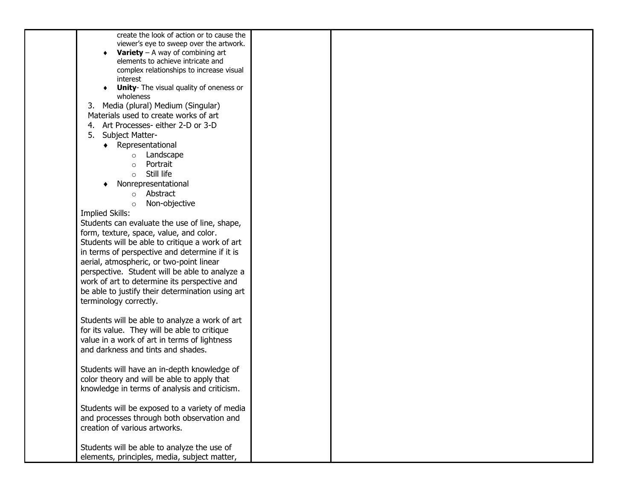| create the look of action or to cause the        |  |  |
|--------------------------------------------------|--|--|
| viewer's eye to sweep over the artwork.          |  |  |
| <b>Variety</b> – A way of combining art          |  |  |
| elements to achieve intricate and                |  |  |
| complex relationships to increase visual         |  |  |
| interest                                         |  |  |
| <b>Unity-</b> The visual quality of oneness or   |  |  |
| wholeness                                        |  |  |
| Media (plural) Medium (Singular)<br>3.           |  |  |
| Materials used to create works of art            |  |  |
| 4. Art Processes- either 2-D or 3-D              |  |  |
| <b>Subject Matter-</b><br>5.                     |  |  |
|                                                  |  |  |
| • Representational                               |  |  |
| Landscape<br>$\circ$                             |  |  |
| Portrait<br>$\circ$                              |  |  |
| Still life<br>$\circ$                            |  |  |
| Nonrepresentational                              |  |  |
| o Abstract                                       |  |  |
| Non-objective<br>$\circ$                         |  |  |
| <b>Implied Skills:</b>                           |  |  |
| Students can evaluate the use of line, shape,    |  |  |
| form, texture, space, value, and color.          |  |  |
| Students will be able to critique a work of art  |  |  |
| in terms of perspective and determine if it is   |  |  |
| aerial, atmospheric, or two-point linear         |  |  |
| perspective. Student will be able to analyze a   |  |  |
| work of art to determine its perspective and     |  |  |
|                                                  |  |  |
| be able to justify their determination using art |  |  |
| terminology correctly.                           |  |  |
|                                                  |  |  |
| Students will be able to analyze a work of art   |  |  |
| for its value. They will be able to critique     |  |  |
| value in a work of art in terms of lightness     |  |  |
| and darkness and tints and shades.               |  |  |
|                                                  |  |  |
| Students will have an in-depth knowledge of      |  |  |
| color theory and will be able to apply that      |  |  |
| knowledge in terms of analysis and criticism.    |  |  |
|                                                  |  |  |
| Students will be exposed to a variety of media   |  |  |
|                                                  |  |  |
| and processes through both observation and       |  |  |
| creation of various artworks.                    |  |  |
|                                                  |  |  |
| Students will be able to analyze the use of      |  |  |
| elements, principles, media, subject matter,     |  |  |